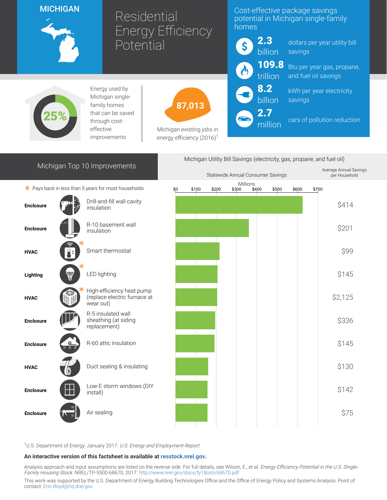## **MICHIGAN**



# Residential Energy Efficiency Potential

### Cost-effective package savings potential in Michigan single-family homes



million

dollars per year utility bill savings

Btu per year gas, propane, and fuel oil savings

kWh per year electricity savings

cars of pollution reduction



Energy used by Michigan singlefamily homes that can be saved through costeffective improvements

87,013

Michigan existing jobs in energy efficiency  $(2016)^1$ 

| Michigan Top 10 Improvements                         |  |                                                                        | Michigan Utility Bill Savings (electricity, gas, propane, and fuel oil) |       |       |                   |       |       |       |       |                                         |
|------------------------------------------------------|--|------------------------------------------------------------------------|-------------------------------------------------------------------------|-------|-------|-------------------|-------|-------|-------|-------|-----------------------------------------|
|                                                      |  |                                                                        | Statewide Annual Consumer Savings                                       |       |       |                   |       |       |       |       | Average Annual Savings<br>per Household |
| * Pays back in less than 5 years for most households |  |                                                                        | \$0                                                                     | \$100 | \$200 | Millions<br>\$300 | \$400 | \$500 | \$600 | \$700 |                                         |
| <b>Enclosure</b>                                     |  | Drill-and-fill wall cavity<br>insulation                               |                                                                         |       |       |                   |       |       |       |       | \$414                                   |
| <b>Enclosure</b>                                     |  | R-10 basement wall<br>insulation                                       |                                                                         |       |       |                   |       |       |       |       | \$201                                   |
| <b>HVAC</b>                                          |  | Smart thermostat                                                       |                                                                         |       |       |                   |       |       |       |       | \$99                                    |
| Lighting                                             |  | <b>LED lighting</b>                                                    |                                                                         |       |       |                   |       |       |       |       | \$145                                   |
| <b>HVAC</b>                                          |  | High-efficiency heat pump<br>(replace electric furnace at<br>wear out) |                                                                         |       |       |                   |       |       |       |       | \$2,125                                 |
| <b>Enclosure</b>                                     |  | R-5 insulated wall<br>sheathing (at siding<br>replacement)             |                                                                         |       |       |                   |       |       |       |       | \$336                                   |
| <b>Enclosure</b>                                     |  | R-60 attic insulation                                                  |                                                                         |       |       |                   |       |       |       |       | \$145                                   |
| <b>HVAC</b>                                          |  | Duct sealing & insulating                                              |                                                                         |       |       |                   |       |       |       |       | \$130                                   |
| <b>Enclosure</b>                                     |  | Low-E storm windows (DIY<br>install)                                   |                                                                         |       |       |                   |       |       |       |       | \$142                                   |
| <b>Enclosure</b>                                     |  | Air sealing                                                            |                                                                         |       |       |                   |       |       |       |       | \$75                                    |
|                                                      |  |                                                                        |                                                                         |       |       |                   |       |       |       |       |                                         |

<sup>1</sup>U.S. Department of Energy. January 2017. U.S. Energy and Employment Report

#### An interactive version of this factsheet is available at [resstock.nrel.gov.](https://resstock.nrel.gov/)

Analysis approach and input assumptions are listed on the reverse side. For full details, see Wilson, E., et al. Energy Efficiency Potential in the U.S. Single-Family Housing Stock. NREL/TP-5500-68670, 2017. <http://www.nrel.gov/docs/fy18osti/68670.pdf>

This work was supported by the U.S. Department of Energy Building Technologies Office and the Office of Energy Policy and Systems Analysis. Point of contact: [Erin.Boyd@hq.doe.gov](mailto:Erin.Boyd@hq.doe.gov)